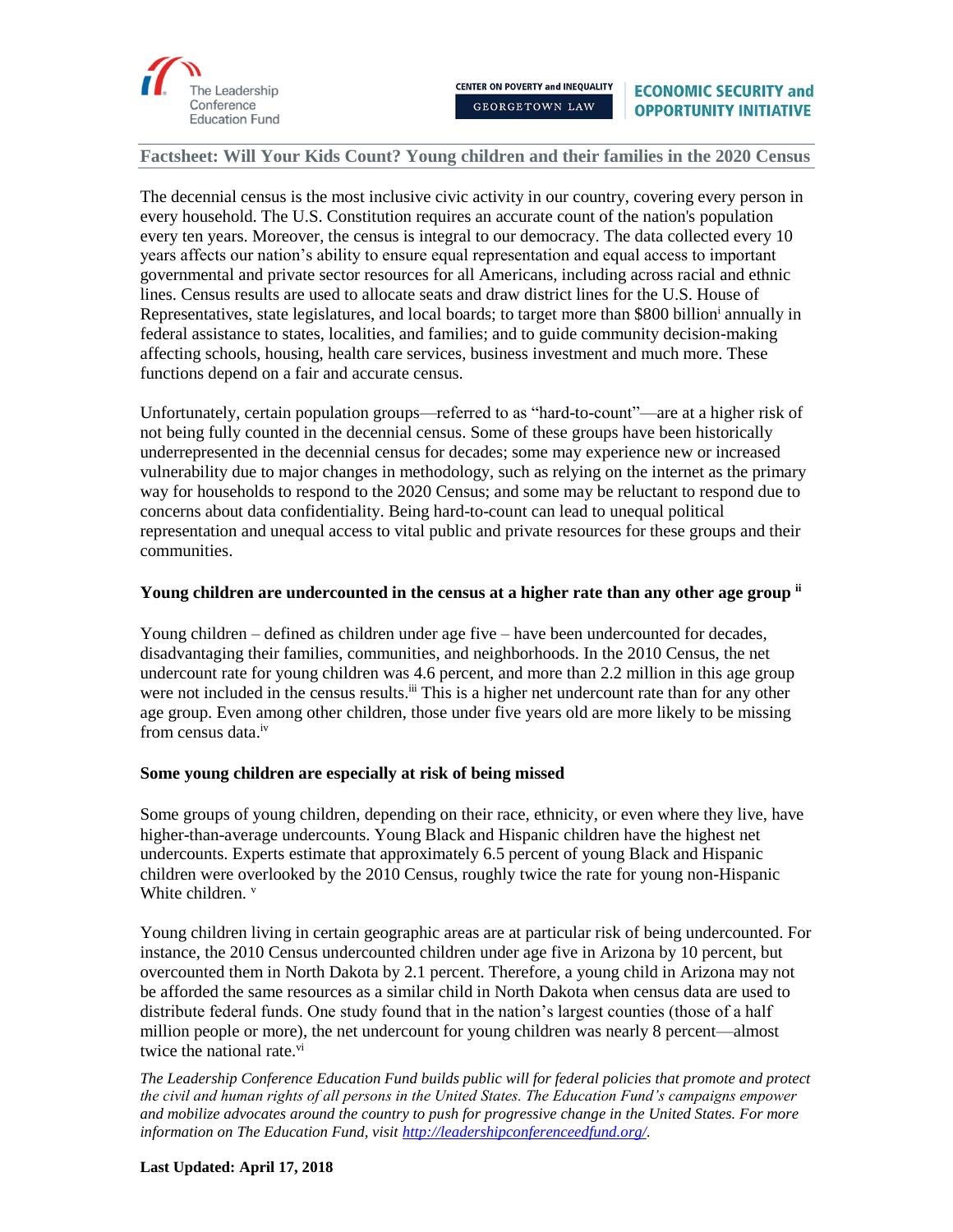

The decennial census is the most inclusive civic activity in our country, covering every person in every household. The U.S. Constitution requires an accurate count of the nation's population every ten years. Moreover, the census is integral to our democracy. The data collected every 10 years affects our nation's ability to ensure equal representation and equal access to important governmental and private sector resources for all Americans, including across racial and ethnic lines. Census results are used to allocate seats and draw district lines for the U.S. House of Representatives, state legislatures, and local boards; to target more than \$800 billion<sup>i</sup> annually in federal assistance to states, localities, and families; and to guide community decision-making affecting schools, housing, health care services, business investment and much more. These functions depend on a fair and accurate census.

Unfortunately, certain population groups—referred to as "hard-to-count"—are at a higher risk of not being fully counted in the decennial census. Some of these groups have been historically underrepresented in the decennial census for decades; some may experience new or increased vulnerability due to major changes in methodology, such as relying on the internet as the primary way for households to respond to the 2020 Census; and some may be reluctant to respond due to concerns about data confidentiality. Being hard-to-count can lead to unequal political representation and unequal access to vital public and private resources for these groups and their communities.

### Young children are undercounted in the census at a higher rate than any other age group **i**

Young children – defined as children under age five – have been undercounted for decades, disadvantaging their families, communities, and neighborhoods. In the 2010 Census, the net undercount rate for young children was 4.6 percent, and more than 2.2 million in this age group were not included in the census results.<sup>iii</sup> This is a higher net undercount rate than for any other age group. Even among other children, those under five years old are more likely to be missing from census data iv

### **Some young children are especially at risk of being missed**

Some groups of young children, depending on their race, ethnicity, or even where they live, have higher-than-average undercounts. Young Black and Hispanic children have the highest net undercounts. Experts estimate that approximately 6.5 percent of young Black and Hispanic children were overlooked by the 2010 Census, roughly twice the rate for young non-Hispanic White children. v

Young children living in certain geographic areas are at particular risk of being undercounted. For instance, the 2010 Census undercounted children under age five in Arizona by 10 percent, but overcounted them in North Dakota by 2.1 percent. Therefore, a young child in Arizona may not be afforded the same resources as a similar child in North Dakota when census data are used to distribute federal funds. One study found that in the nation's largest counties (those of a half million people or more), the net undercount for young children was nearly 8 percent—almost twice the national rate. $\overline{v}$ <sup>i</sup>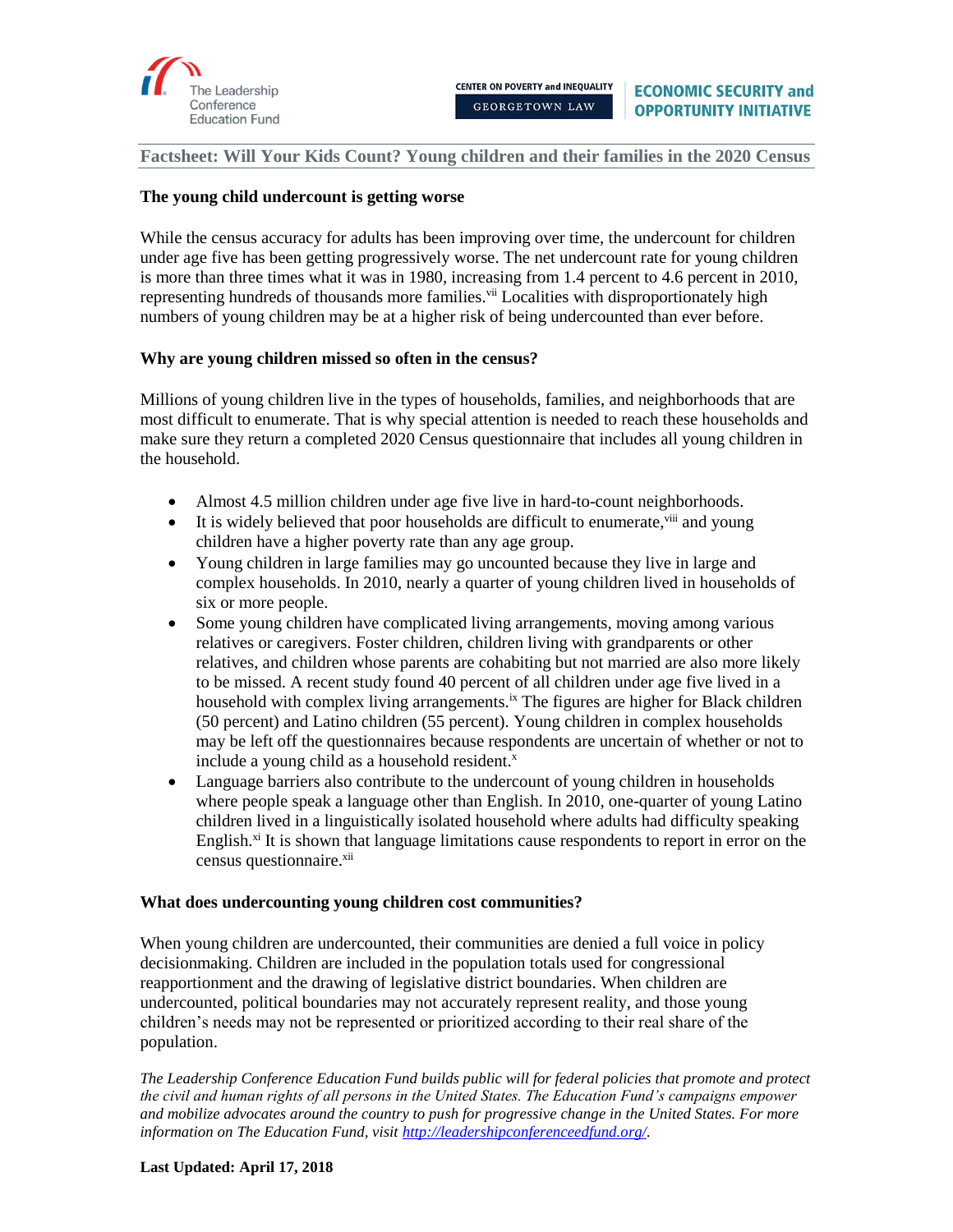

# **The young child undercount is getting worse**

While the census accuracy for adults has been improving over time, the undercount for children under age five has been getting progressively worse. The net undercount rate for young children is more than three times what it was in 1980, increasing from 1.4 percent to 4.6 percent in 2010, representing hundreds of thousands more families.<sup>vii</sup> Localities with disproportionately high numbers of young children may be at a higher risk of being undercounted than ever before.

### **Why are young children missed so often in the census?**

Millions of young children live in the types of households, families, and neighborhoods that are most difficult to enumerate. That is why special attention is needed to reach these households and make sure they return a completed 2020 Census questionnaire that includes all young children in the household.

- Almost 4.5 million children under age five live in hard-to-count neighborhoods.
- $\bullet$  It is widely believed that poor households are difficult to enumerate,  $\frac{1}{10}$  and young children have a higher poverty rate than any age group.
- Young children in large families may go uncounted because they live in large and complex households. In 2010, nearly a quarter of young children lived in households of six or more people.
- Some young children have complicated living arrangements, moving among various relatives or caregivers. Foster children, children living with grandparents or other relatives, and children whose parents are cohabiting but not married are also more likely to be missed. A recent study found 40 percent of all children under age five lived in a household with complex living arrangements.<sup>ix</sup> The figures are higher for Black children (50 percent) and Latino children (55 percent). Young children in complex households may be left off the questionnaires because respondents are uncertain of whether or not to include a young child as a household resident. $^x$
- Language barriers also contribute to the undercount of young children in households where people speak a language other than English. In 2010, one-quarter of young Latino children lived in a linguistically isolated household where adults had difficulty speaking English.<sup>xi</sup> It is shown that language limitations cause respondents to report in error on the census questionnaire.<sup>xii</sup>

### **What does undercounting young children cost communities?**

When young children are undercounted, their communities are denied a full voice in policy decisionmaking. Children are included in the population totals used for congressional reapportionment and the drawing of legislative district boundaries. When children are undercounted, political boundaries may not accurately represent reality, and those young children's needs may not be represented or prioritized according to their real share of the population.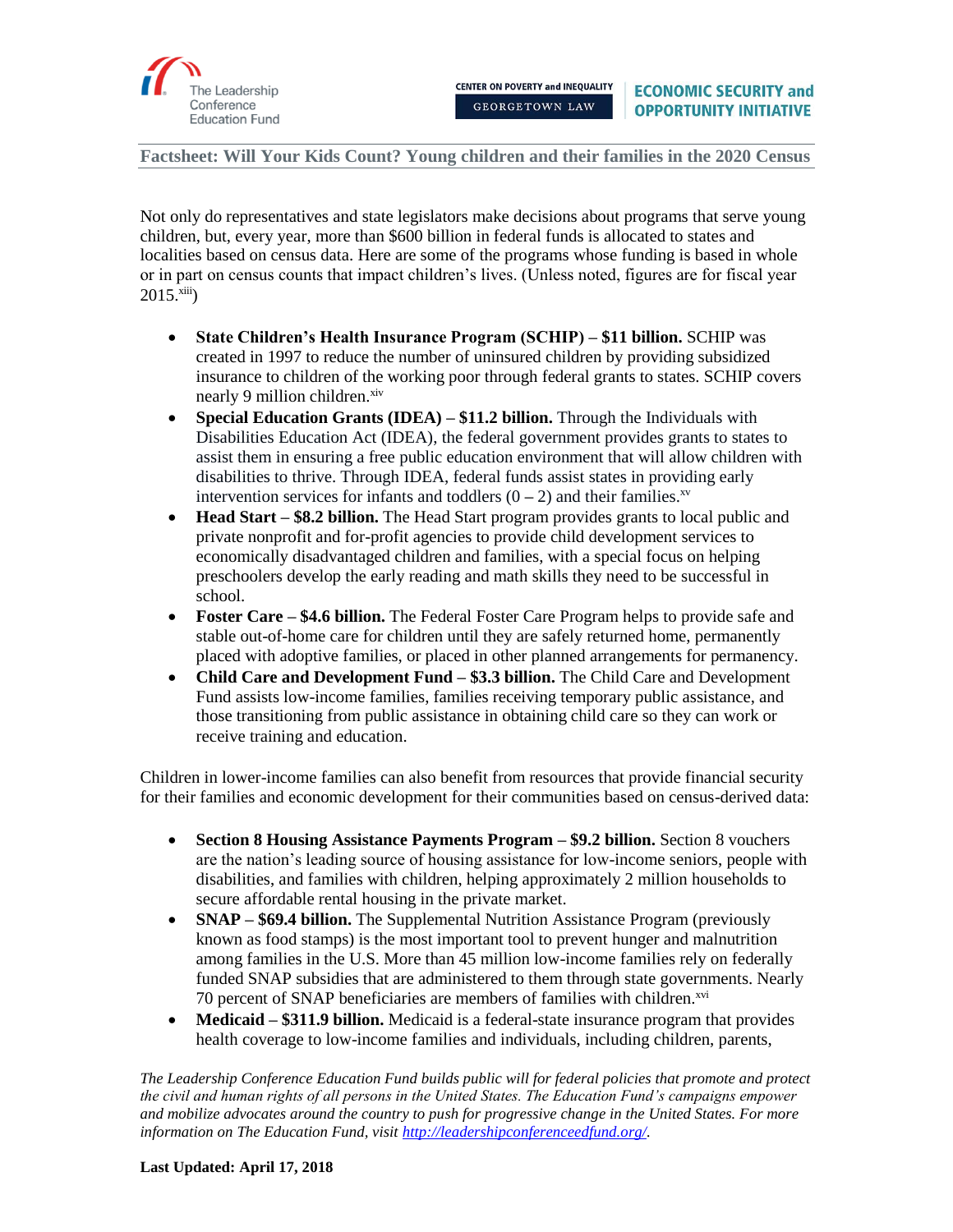

Not only do representatives and state legislators make decisions about programs that serve young children, but, every year, more than \$600 billion in federal funds is allocated to states and localities based on census data. Here are some of the programs whose funding is based in whole or in part on census counts that impact children's lives. (Unless noted, figures are for fiscal year  $2015.^{xiii}$ )

- **State Children's Health Insurance Program (SCHIP) – \$11 billion.** SCHIP was created in 1997 to reduce the number of uninsured children by providing subsidized insurance to children of the working poor through federal grants to states. SCHIP covers nearly 9 million children.<sup>xiv</sup>
- **Special Education Grants (IDEA) \$11.2 billion.** Through the Individuals with Disabilities Education Act (IDEA), the federal government provides grants to states to assist them in ensuring a free public education environment that will allow children with disabilities to thrive. Through IDEA, federal funds assist states in providing early intervention services for infants and toddlers  $(0 - 2)$  and their families.<sup>xv</sup>
- **Head Start – \$8.2 billion.** The Head Start program provides grants to local public and private nonprofit and for-profit agencies to provide child development services to economically disadvantaged children and families, with a special focus on helping preschoolers develop the early reading and math skills they need to be successful in school.
- **Foster Care \$4.6 billion.** The Federal Foster Care Program helps to provide safe and stable out-of-home care for children until they are safely returned home, permanently placed with adoptive families, or placed in other planned arrangements for permanency.
- **Child Care and Development Fund – \$3.3 billion.** The Child Care and Development Fund assists low-income families, families receiving temporary public assistance, and those transitioning from public assistance in obtaining child care so they can work or receive training and education.

Children in lower-income families can also benefit from resources that provide financial security for their families and economic development for their communities based on census-derived data:

- **Section 8 Housing Assistance Payments Program – \$9.2 billion.** Section 8 vouchers are the nation's leading source of housing assistance for low-income seniors, people with disabilities, and families with children, helping approximately 2 million households to secure affordable rental housing in the private market.
- **SNAP \$69.4 billion.** The Supplemental Nutrition Assistance Program (previously known as food stamps) is the most important tool to prevent hunger and malnutrition among families in the U.S. More than 45 million low-income families rely on federally funded SNAP subsidies that are administered to them through state governments. Nearly 70 percent of SNAP beneficiaries are members of families with children.<sup>xvi</sup>
- **Medicaid \$311.9 billion.** Medicaid is a federal-state insurance program that provides health coverage to low-income families and individuals, including children, parents,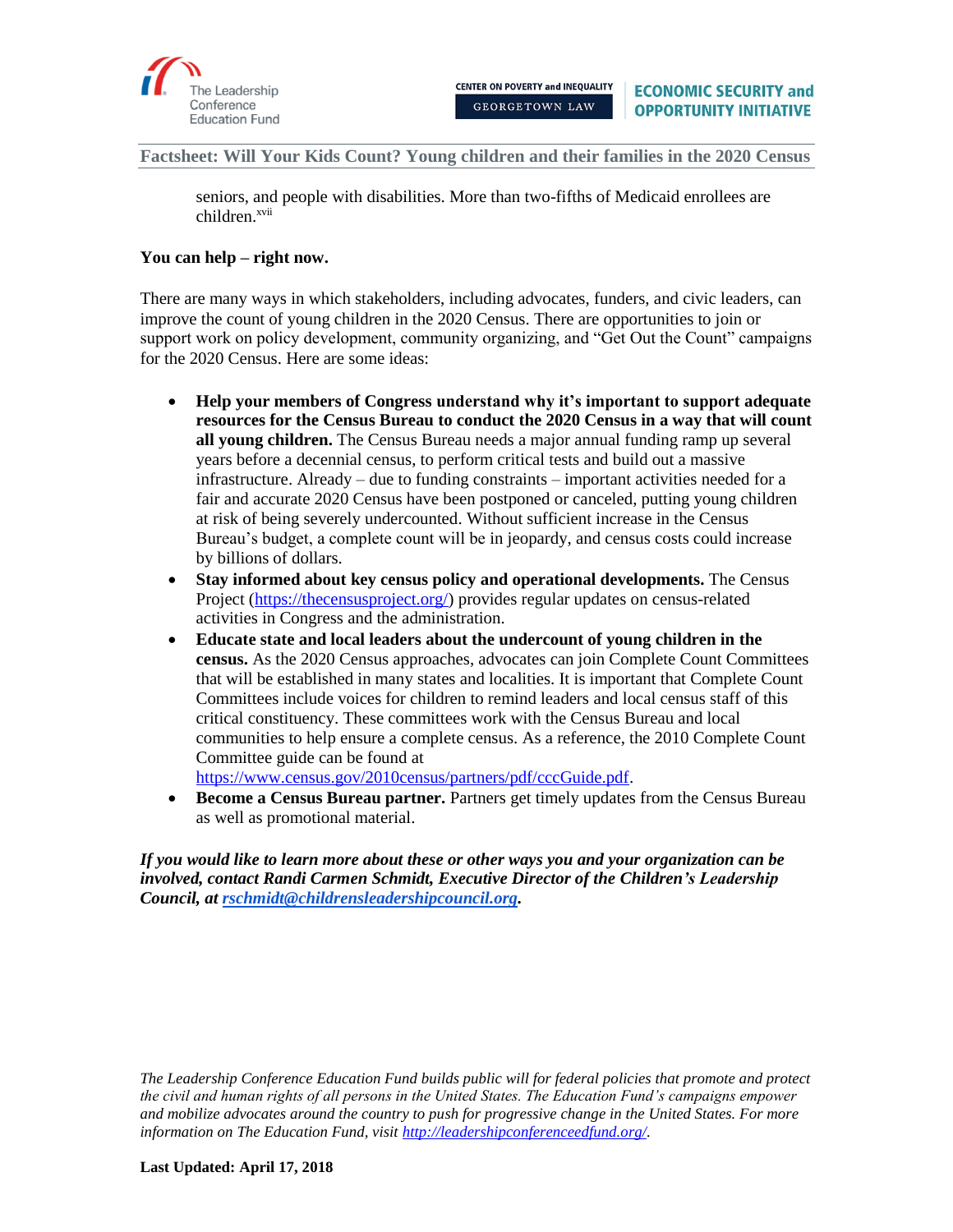

seniors, and people with disabilities. More than two-fifths of Medicaid enrollees are children.<sup>xvii</sup>

### **You can help – right now.**

There are many ways in which stakeholders, including advocates, funders, and civic leaders, can improve the count of young children in the 2020 Census. There are opportunities to join or support work on policy development, community organizing, and "Get Out the Count" campaigns for the 2020 Census. Here are some ideas:

- **Help your members of Congress understand why it's important to support adequate resources for the Census Bureau to conduct the 2020 Census in a way that will count all young children.** The Census Bureau needs a major annual funding ramp up several years before a decennial census, to perform critical tests and build out a massive infrastructure. Already – due to funding constraints – important activities needed for a fair and accurate 2020 Census have been postponed or canceled, putting young children at risk of being severely undercounted. Without sufficient increase in the Census Bureau's budget, a complete count will be in jeopardy, and census costs could increase by billions of dollars.
- **Stay informed about key census policy and operational developments.** The Census Project [\(https://thecensusproject.org/\)](https://thecensusproject.org/) provides regular updates on census-related activities in Congress and the administration.
- **Educate state and local leaders about the undercount of young children in the census.** As the 2020 Census approaches, advocates can join Complete Count Committees that will be established in many states and localities. It is important that Complete Count Committees include voices for children to remind leaders and local census staff of this critical constituency. These committees work with the Census Bureau and local communities to help ensure a complete census. As a reference, the 2010 Complete Count Committee guide can be found at

[https://www.census.gov/2010census/partners/pdf/cccGuide.pdf.](https://www.census.gov/2010census/partners/pdf/cccGuide.pdf)

• **Become a Census Bureau partner.** Partners get timely updates from the Census Bureau as well as promotional material.

*If you would like to learn more about these or other ways you and your organization can be involved, contact Randi Carmen Schmidt, Executive Director of the Children's Leadership Council, at [rschmidt@childrensleadershipcouncil.org.](mailto:rschmidt@childrensleadershipcouncil.org)*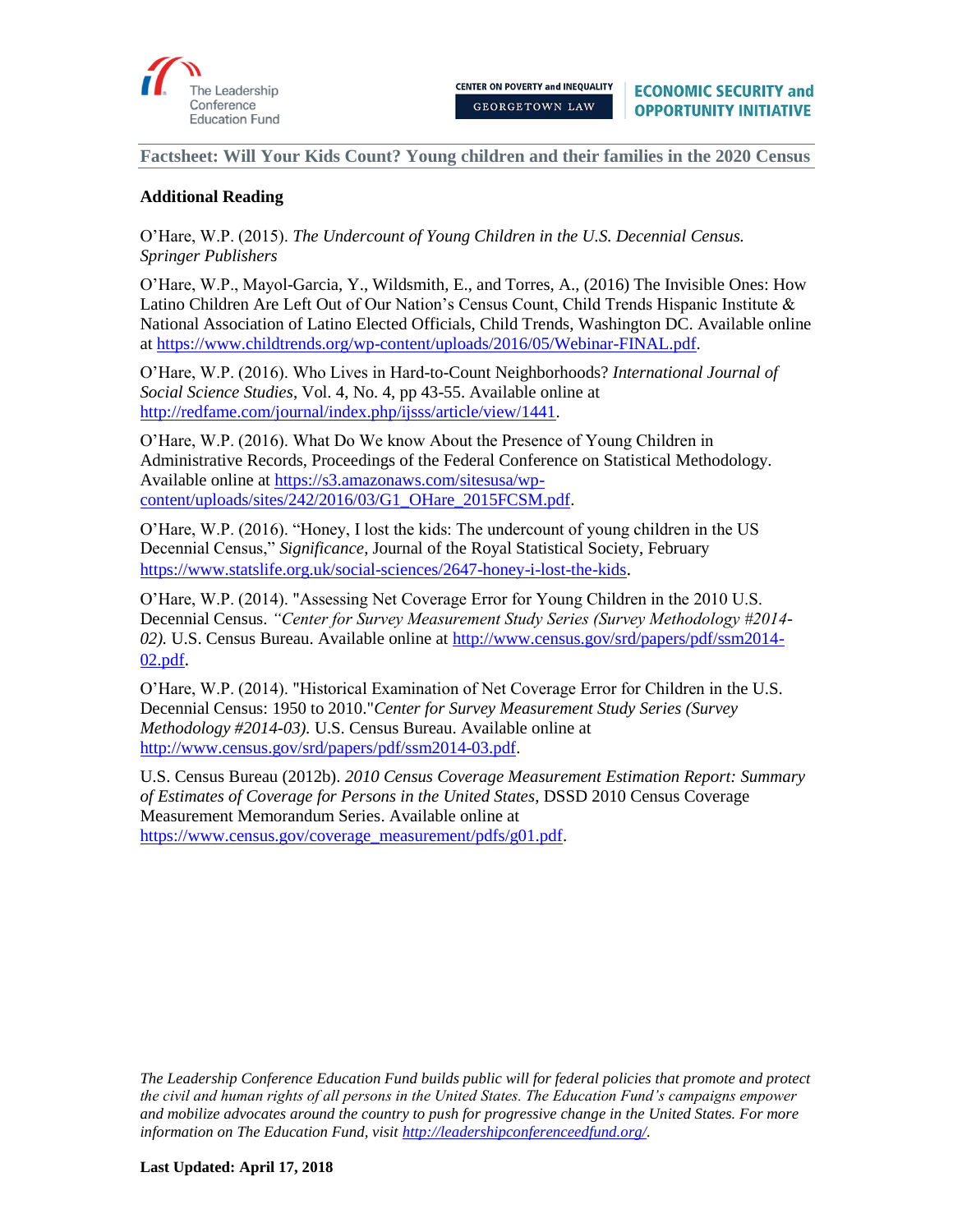

# **Additional Reading**

O'Hare, W.P. (2015). *The Undercount of Young Children in the U.S. Decennial Census. Springer Publishers* 

O'Hare, W.P., Mayol-Garcia, Y., Wildsmith, E., and Torres, A., (2016) The Invisible Ones: How Latino Children Are Left Out of Our Nation's Census Count, Child Trends Hispanic Institute  $\&$ National Association of Latino Elected Officials, Child Trends, Washington DC. Available online at [https://www.childtrends.org/wp-content/uploads/2016/05/Webinar-FINAL.pdf.](https://www.childtrends.org/wp-content/uploads/2016/05/Webinar-FINAL.pdf)

O'Hare, W.P. (2016). Who Lives in Hard-to-Count Neighborhoods? *International Journal of Social Science Studies*, Vol. 4, No. 4, pp 43-55. Available online at [http://redfame.com/journal/index.php/ijsss/article/view/1441.](http://redfame.com/journal/index.php/ijsss/article/view/1441)

O'Hare, W.P. (2016). What Do We know About the Presence of Young Children in Administrative Records, Proceedings of the Federal Conference on Statistical Methodology. Available online at [https://s3.amazonaws.com/sitesusa/wp](https://s3.amazonaws.com/sitesusa/wp-content/uploads/sites/242/2016/03/G1_OHare_2015FCSM.pdf)[content/uploads/sites/242/2016/03/G1\\_OHare\\_2015FCSM.pdf.](https://s3.amazonaws.com/sitesusa/wp-content/uploads/sites/242/2016/03/G1_OHare_2015FCSM.pdf)

O'Hare, W.P. (2016). "Honey, I lost the kids: The undercount of young children in the US Decennial Census," *Significance*, Journal of the Royal Statistical Society, February <https://www.statslife.org.uk/social-sciences/2647-honey-i-lost-the-kids>.

O'Hare, W.P. (2014). "Assessing Net Coverage Error for Young Children in the 2010 U.S. Decennial Census. *"Center for Survey Measurement Study Series (Survey Methodology #2014- 02).* U.S. Census Bureau. Available online a[t http://www.census.gov/srd/papers/pdf/ssm2014-](http://www.census.gov/srd/papers/pdf/ssm2014-02.pdf) [02.pdf](http://www.census.gov/srd/papers/pdf/ssm2014-02.pdf).

O'Hare, W.P. (2014). "Historical Examination of Net Coverage Error for Children in the U.S. Decennial Census: 1950 to 2010."*Center for Survey Measurement Study Series (Survey Methodology #2014-03).* U.S. Census Bureau. Available online at [http://www.census.gov/srd/papers/pdf/ssm2014-03.pdf.](http://www.census.gov/srd/papers/pdf/ssm2014-03.pdf)

U.S. Census Bureau (2012b). *2010 Census Coverage Measurement Estimation Report: Summary of Estimates of Coverage for Persons in the United States*, DSSD 2010 Census Coverage Measurement Memorandum Series. Available online at [https://www.census.gov/coverage\\_measurement/pdfs/g01.pdf.](https://www.census.gov/coverage_measurement/pdfs/g01.pdf)